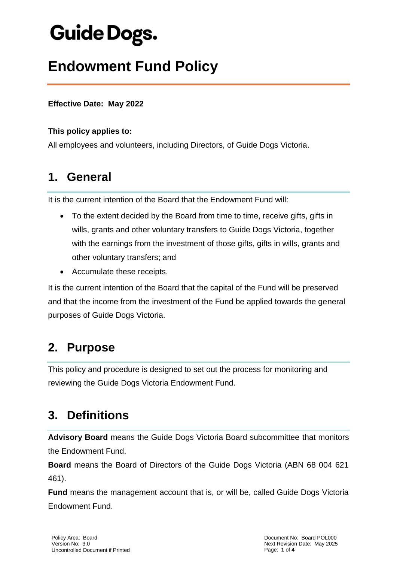# **Guide Dogs.**

## **Endowment Fund Policy**

#### **Effective Date: May 2022**

#### **This policy applies to:**

All employees and volunteers, including Directors, of Guide Dogs Victoria.

### **1. General**

It is the current intention of the Board that the Endowment Fund will:

- To the extent decided by the Board from time to time, receive gifts, gifts in wills, grants and other voluntary transfers to Guide Dogs Victoria, together with the earnings from the investment of those gifts, gifts in wills, grants and other voluntary transfers; and
- Accumulate these receipts.

It is the current intention of the Board that the capital of the Fund will be preserved and that the income from the investment of the Fund be applied towards the general purposes of Guide Dogs Victoria.

### **2. Purpose**

This policy and procedure is designed to set out the process for monitoring and reviewing the Guide Dogs Victoria Endowment Fund.

### **3. Definitions**

**Advisory Board** means the Guide Dogs Victoria Board subcommittee that monitors the Endowment Fund.

**Board** means the Board of Directors of the Guide Dogs Victoria (ABN 68 004 621 461).

**Fund** means the management account that is, or will be, called Guide Dogs Victoria Endowment Fund.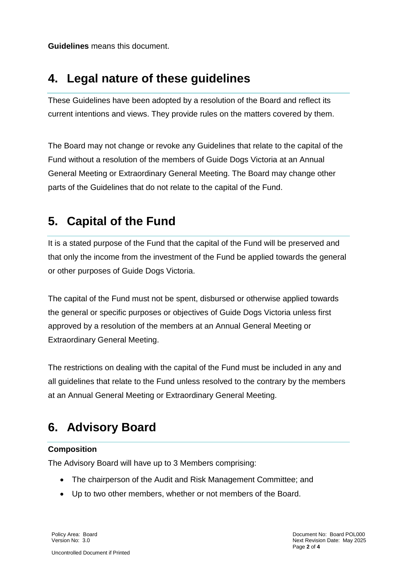**Guidelines** means this document.

### **4. Legal nature of these guidelines**

These Guidelines have been adopted by a resolution of the Board and reflect its current intentions and views. They provide rules on the matters covered by them.

The Board may not change or revoke any Guidelines that relate to the capital of the Fund without a resolution of the members of Guide Dogs Victoria at an Annual General Meeting or Extraordinary General Meeting. The Board may change other parts of the Guidelines that do not relate to the capital of the Fund.

### **5. Capital of the Fund**

It is a stated purpose of the Fund that the capital of the Fund will be preserved and that only the income from the investment of the Fund be applied towards the general or other purposes of Guide Dogs Victoria.

The capital of the Fund must not be spent, disbursed or otherwise applied towards the general or specific purposes or objectives of Guide Dogs Victoria unless first approved by a resolution of the members at an Annual General Meeting or Extraordinary General Meeting.

The restrictions on dealing with the capital of the Fund must be included in any and all guidelines that relate to the Fund unless resolved to the contrary by the members at an Annual General Meeting or Extraordinary General Meeting.

### **6. Advisory Board**

#### **Composition**

The Advisory Board will have up to 3 Members comprising:

- The chairperson of the Audit and Risk Management Committee; and
- Up to two other members, whether or not members of the Board.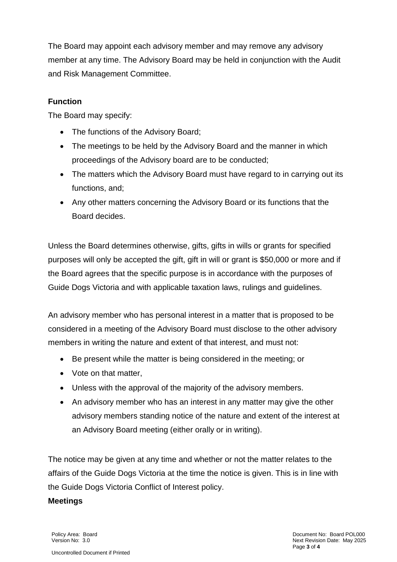The Board may appoint each advisory member and may remove any advisory member at any time. The Advisory Board may be held in conjunction with the Audit and Risk Management Committee.

#### **Function**

The Board may specify:

- The functions of the Advisory Board;
- The meetings to be held by the Advisory Board and the manner in which proceedings of the Advisory board are to be conducted;
- The matters which the Advisory Board must have regard to in carrying out its functions, and;
- Any other matters concerning the Advisory Board or its functions that the Board decides.

Unless the Board determines otherwise, gifts, gifts in wills or grants for specified purposes will only be accepted the gift, gift in will or grant is \$50,000 or more and if the Board agrees that the specific purpose is in accordance with the purposes of Guide Dogs Victoria and with applicable taxation laws, rulings and guidelines.

An advisory member who has personal interest in a matter that is proposed to be considered in a meeting of the Advisory Board must disclose to the other advisory members in writing the nature and extent of that interest, and must not:

- Be present while the matter is being considered in the meeting; or
- Vote on that matter,
- Unless with the approval of the majority of the advisory members.
- An advisory member who has an interest in any matter may give the other advisory members standing notice of the nature and extent of the interest at an Advisory Board meeting (either orally or in writing).

The notice may be given at any time and whether or not the matter relates to the affairs of the Guide Dogs Victoria at the time the notice is given. This is in line with the Guide Dogs Victoria Conflict of Interest policy.

#### **Meetings**